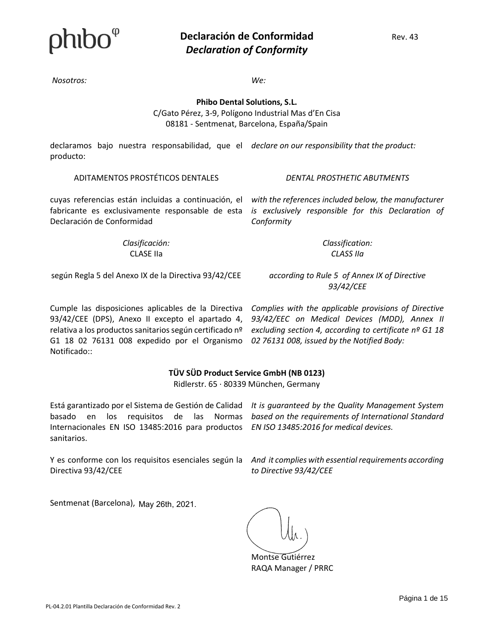*Nosotros: We:*

*Conformity*

**Phibo Dental Solutions, S.L.** C/Gato Pérez, 3-9, Polígono Industrial Mas d'En Cisa 08181 - Sentmenat, Barcelona, España/Spain

declaramos bajo nuestra responsabilidad, que el *declare on our responsibility that the product:* producto:

ADITAMENTOS PROSTÉTICOS DENTALES *DENTAL PROSTHETIC ABUTMENTS*

*with the references included below, the manufacturer* 

cuyas referencias están incluidas a continuación, el fabricante es exclusivamente responsable de esta *is exclusively responsible for this Declaration of* Declaración de Conformidad

> *Clasificación:*  CLASE IIa

*Classification: CLASS IIa*

según Regla 5 del Anexo IX de la Directiva 93/42/CEE

*according to Rule 5 of Annex IX of Directive 93/42/CEE*

Cumple las disposiciones aplicables de la Directiva 93/42/CEE (DPS), Anexo II excepto el apartado 4, relativa a los productos sanitarios según certificado nº G1 18 02 76131 008 expedido por el Organismo Notificado::

*Complies with the applicable provisions of Directive 93/42/EEC on Medical Devices (MDD), Annex II excluding section 4, according to certificate nº G1 18 02 76131 008, issued by the Notified Body:*

### **TÜV SÜD Product Service GmbH (NB 0123)**

Ridlerstr. 65 · 80339 München, Germany

Internacionales EN ISO 13485:2016 para productos *EN ISO 13485:2016 for medical devices.* sanitarios.

Está garantizado por el Sistema de Gestión de Calidad It is guaranteed by the Quality Management System basado en los requisitos de las Normas based on the requirements of International Standard

Y es conforme con los requisitos esenciales según la Directiva 93/42/CEE

*And it complies with essential requirements according to Directive 93/42/CEE*

Sentmenat (Barcelona), May 26th, 2021.

Montse Gutiérrez RAQA Manager / PRRC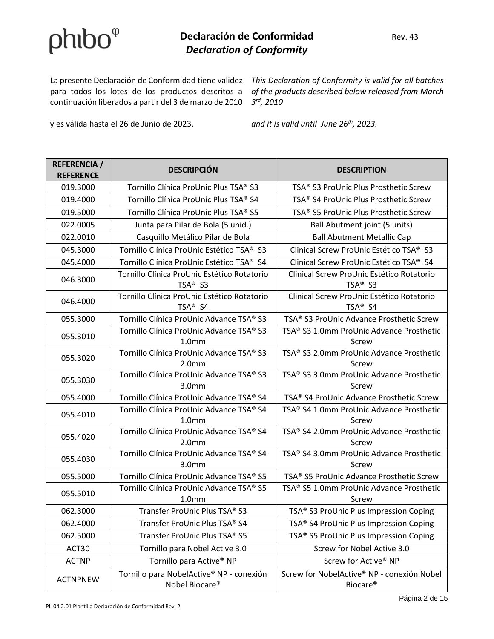### $\mathbf{0}$  **Declaración de Conformidad** Rev. 43 *Declaration of Conformity*

La presente Declaración de Conformidad tiene validez This Declaration of Conformity is valid for all batches para todos los lotes de los productos descritos a continuación liberados a partir del 3 de marzo de 2010

y es válida hasta el 26 de Junio de 2023. *and it is valid until June 26th, 2023.*

*of the products described below released from March 3 rd, 2010*

| <b>REFERENCIA /</b><br><b>REFERENCE</b> | <b>DESCRIPCIÓN</b>                                            | <b>DESCRIPTION</b>                                                 |
|-----------------------------------------|---------------------------------------------------------------|--------------------------------------------------------------------|
| 019.3000                                | Tornillo Clínica ProUnic Plus TSA® S3                         | TSA® S3 ProUnic Plus Prosthetic Screw                              |
| 019.4000                                | Tornillo Clínica ProUnic Plus TSA® S4                         | TSA® S4 ProUnic Plus Prosthetic Screw                              |
| 019.5000                                | Tornillo Clínica ProUnic Plus TSA® S5                         | TSA® S5 ProUnic Plus Prosthetic Screw                              |
| 022.0005                                | Junta para Pilar de Bola (5 unid.)                            | Ball Abutment joint (5 units)                                      |
| 022.0010                                | Casquillo Metálico Pilar de Bola                              | <b>Ball Abutment Metallic Cap</b>                                  |
| 045.3000                                | Tornillo Clínica ProUnic Estético TSA® S3                     | Clinical Screw ProUnic Estético TSA® S3                            |
| 045.4000                                | Tornillo Clínica ProUnic Estético TSA® S4                     | Clinical Screw ProUnic Estético TSA® S4                            |
| 046.3000                                | Tornillo Clínica ProUnic Estético Rotatorio<br>TSA® S3        | Clinical Screw ProUnic Estético Rotatorio<br>TSA <sup>®</sup> S3   |
| 046.4000                                | Tornillo Clínica ProUnic Estético Rotatorio<br>TSA® S4        | Clinical Screw ProUnic Estético Rotatorio<br>TSA <sup>®</sup> S4   |
| 055.3000                                | Tornillo Clínica ProUnic Advance TSA® S3                      | TSA® S3 ProUnic Advance Prosthetic Screw                           |
| 055.3010                                | Tornillo Clínica ProUnic Advance TSA® S3<br>1.0 <sub>mm</sub> | TSA® S3 1.0mm ProUnic Advance Prosthetic<br>Screw                  |
| 055.3020                                | Tornillo Clínica ProUnic Advance TSA® S3<br>2.0 <sub>mm</sub> | TSA® S3 2.0mm ProUnic Advance Prosthetic<br>Screw                  |
| 055.3030                                | Tornillo Clínica ProUnic Advance TSA® S3<br>3.0 <sub>mm</sub> | TSA® S3 3.0mm ProUnic Advance Prosthetic<br>Screw                  |
| 055.4000                                | Tornillo Clínica ProUnic Advance TSA® S4                      | TSA® S4 ProUnic Advance Prosthetic Screw                           |
| 055.4010                                | Tornillo Clínica ProUnic Advance TSA® S4<br>1.0 <sub>mm</sub> | TSA® S4 1.0mm ProUnic Advance Prosthetic<br>Screw                  |
| 055.4020                                | Tornillo Clínica ProUnic Advance TSA® S4<br>2.0 <sub>mm</sub> | TSA® S4 2.0mm ProUnic Advance Prosthetic<br>Screw                  |
| 055.4030                                | Tornillo Clínica ProUnic Advance TSA® S4<br>3.0 <sub>mm</sub> | TSA® S4 3.0mm ProUnic Advance Prosthetic<br>Screw                  |
| 055.5000                                | Tornillo Clínica ProUnic Advance TSA® S5                      | TSA® S5 ProUnic Advance Prosthetic Screw                           |
| 055.5010                                | Tornillo Clínica ProUnic Advance TSA® S5<br>1.0 <sub>mm</sub> | TSA® S5 1.0mm ProUnic Advance Prosthetic<br>Screw                  |
| 062.3000                                | Transfer ProUnic Plus TSA® S3                                 | TSA® S3 ProUnic Plus Impression Coping                             |
| 062.4000                                | Transfer ProUnic Plus TSA® S4                                 | TSA® S4 ProUnic Plus Impression Coping                             |
| 062.5000                                | Transfer ProUnic Plus TSA® S5                                 | TSA® S5 ProUnic Plus Impression Coping                             |
| ACT30                                   | Tornillo para Nobel Active 3.0                                | Screw for Nobel Active 3.0                                         |
| <b>ACTNP</b>                            | Tornillo para Active <sup>®</sup> NP                          | Screw for Active® NP                                               |
| <b>ACTNPNEW</b>                         | Tornillo para NobelActive® NP - conexión<br>Nobel Biocare®    | Screw for NobelActive® NP - conexión Nobel<br>Biocare <sup>®</sup> |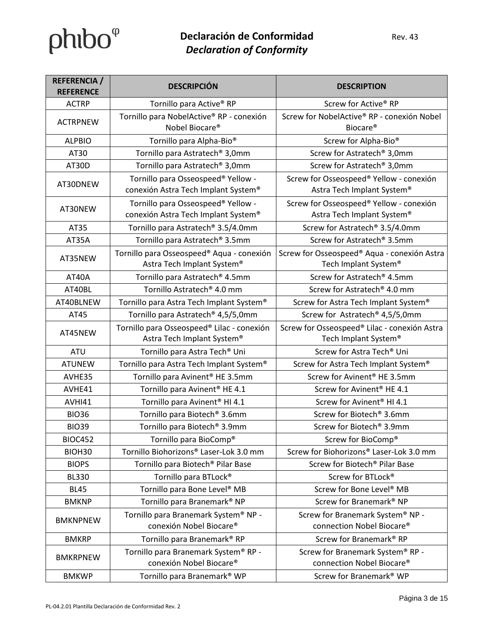| <b>REFERENCIA /</b><br><b>REFERENCE</b> | <b>DESCRIPCIÓN</b>                                                        | <b>DESCRIPTION</b>                                                    |
|-----------------------------------------|---------------------------------------------------------------------------|-----------------------------------------------------------------------|
| <b>ACTRP</b>                            | Tornillo para Active <sup>®</sup> RP                                      | Screw for Active® RP                                                  |
| <b>ACTRPNEW</b>                         | Tornillo para NobelActive® RP - conexión<br>Nobel Biocare <sup>®</sup>    | Screw for NobelActive® RP - conexión Nobel<br>Biocare <sup>®</sup>    |
| <b>ALPBIO</b>                           | Tornillo para Alpha-Bio <sup>®</sup>                                      | Screw for Alpha-Bio <sup>®</sup>                                      |
| AT30                                    | Tornillo para Astratech <sup>®</sup> 3,0mm                                | Screw for Astratech <sup>®</sup> 3,0mm                                |
| AT30D                                   | Tornillo para Astratech <sup>®</sup> 3,0mm                                | Screw for Astratech® 3,0mm                                            |
| AT30DNEW                                | Tornillo para Osseospeed® Yellow -<br>conexión Astra Tech Implant System® | Screw for Osseospeed® Yellow - conexión<br>Astra Tech Implant System® |
| AT30NEW                                 | Tornillo para Osseospeed® Yellow -<br>conexión Astra Tech Implant System® | Screw for Osseospeed® Yellow - conexión<br>Astra Tech Implant System® |
| AT35                                    | Tornillo para Astratech <sup>®</sup> 3.5/4.0mm                            | Screw for Astratech <sup>®</sup> 3.5/4.0mm                            |
| AT35A                                   | Tornillo para Astratech <sup>®</sup> 3.5mm                                | Screw for Astratech <sup>®</sup> 3.5mm                                |
| AT35NEW                                 | Tornillo para Osseospeed® Aqua - conexión<br>Astra Tech Implant System®   | Screw for Osseospeed® Aqua - conexión Astra<br>Tech Implant System®   |
| AT40A                                   | Tornillo para Astratech® 4.5mm                                            | Screw for Astratech® 4.5mm                                            |
| AT40BL                                  | Tornillo Astratech <sup>®</sup> 4.0 mm                                    | Screw for Astratech <sup>®</sup> 4.0 mm                               |
| AT40BLNEW                               | Tornillo para Astra Tech Implant System®                                  | Screw for Astra Tech Implant System®                                  |
| AT45                                    | Tornillo para Astratech® 4,5/5,0mm                                        | Screw for Astratech <sup>®</sup> 4,5/5,0mm                            |
| AT45NEW                                 | Tornillo para Osseospeed® Lilac - conexión<br>Astra Tech Implant System®  | Screw for Osseospeed® Lilac - conexión Astra<br>Tech Implant System®  |
| <b>ATU</b>                              | Tornillo para Astra Tech <sup>®</sup> Uni                                 | Screw for Astra Tech <sup>®</sup> Uni                                 |
| <b>ATUNEW</b>                           | Tornillo para Astra Tech Implant System®                                  | Screw for Astra Tech Implant System®                                  |
| AVHE35                                  | Tornillo para Avinent <sup>®</sup> HE 3.5mm                               | Screw for Avinent <sup>®</sup> HE 3.5mm                               |
| AVHE41                                  | Tornillo para Avinent <sup>®</sup> HE 4.1                                 | Screw for Avinent® HE 4.1                                             |
| AVHI41                                  | Tornillo para Avinent <sup>®</sup> HI 4.1                                 | Screw for Avinent <sup>®</sup> HI 4.1                                 |
| <b>BIO36</b>                            | Tornillo para Biotech <sup>®</sup> 3.6mm                                  | Screw for Biotech <sup>®</sup> 3.6mm                                  |
| <b>BIO39</b>                            | Tornillo para Biotech <sup>®</sup> 3.9mm                                  | Screw for Biotech® 3.9mm                                              |
| <b>BIOC452</b>                          | Tornillo para BioComp®                                                    | Screw for BioComp®                                                    |
| BIOH30                                  | Tornillo Biohorizons® Laser-Lok 3.0 mm                                    | Screw for Biohorizons® Laser-Lok 3.0 mm                               |
| <b>BIOPS</b>                            | Tornillo para Biotech <sup>®</sup> Pilar Base                             | Screw for Biotech <sup>®</sup> Pilar Base                             |
| <b>BL330</b>                            | Tornillo para BTLock <sup>®</sup>                                         | Screw for BTLock®                                                     |
| <b>BL45</b>                             | Tornillo para Bone Level <sup>®</sup> MB                                  | Screw for Bone Level <sup>®</sup> MB                                  |
| <b>BMKNP</b>                            | Tornillo para Branemark® NP                                               | Screw for Branemark® NP                                               |
| <b>BMKNPNEW</b>                         | Tornillo para Branemark System® NP -<br>conexión Nobel Biocare®           | Screw for Branemark System® NP -<br>connection Nobel Biocare®         |
| <b>BMKRP</b>                            | Tornillo para Branemark® RP                                               | Screw for Branemark® RP                                               |
| <b>BMKRPNEW</b>                         | Tornillo para Branemark System® RP -<br>conexión Nobel Biocare®           | Screw for Branemark System® RP -<br>connection Nobel Biocare®         |
| <b>BMKWP</b>                            | Tornillo para Branemark <sup>®</sup> WP                                   | Screw for Branemark® WP                                               |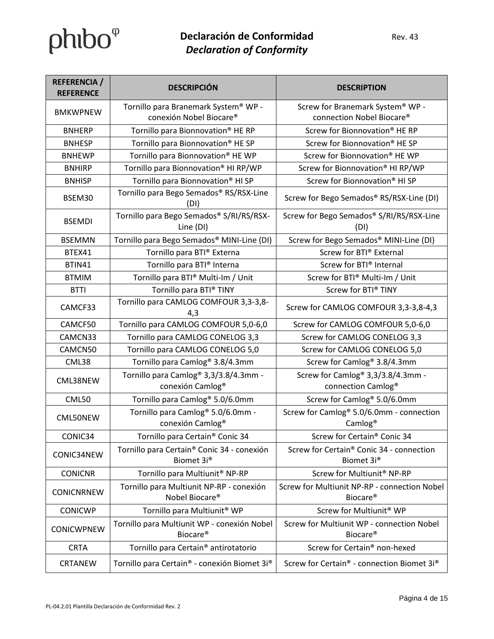| <b>REFERENCIA /</b><br><b>REFERENCE</b> | <b>DESCRIPCIÓN</b>                                                                | <b>DESCRIPTION</b>                                                             |
|-----------------------------------------|-----------------------------------------------------------------------------------|--------------------------------------------------------------------------------|
| <b>BMKWPNEW</b>                         | Tornillo para Branemark System® WP -<br>conexión Nobel Biocare®                   | Screw for Branemark System® WP -<br>connection Nobel Biocare®                  |
| <b>BNHERP</b>                           | Tornillo para Bionnovation <sup>®</sup> HE RP                                     | Screw for Bionnovation <sup>®</sup> HE RP                                      |
| <b>BNHESP</b>                           | Tornillo para Bionnovation <sup>®</sup> HE SP                                     | Screw for Bionnovation® HE SP                                                  |
| <b>BNHEWP</b>                           | Tornillo para Bionnovation® HE WP                                                 | Screw for Bionnovation <sup>®</sup> HE WP                                      |
| <b>BNHIRP</b>                           | Tornillo para Bionnovation® HI RP/WP                                              | Screw for Bionnovation® HI RP/WP                                               |
| <b>BNHISP</b>                           | Tornillo para Bionnovation <sup>®</sup> HI SP                                     | Screw for Bionnovation® HI SP                                                  |
| BSEM30                                  | Tornillo para Bego Semados® RS/RSX-Line<br>(DI)                                   | Screw for Bego Semados® RS/RSX-Line (DI)                                       |
| <b>BSEMDI</b>                           | Tornillo para Bego Semados® S/RI/RS/RSX-<br>Line (DI)                             | Screw for Bego Semados® S/RI/RS/RSX-Line<br>(DI)                               |
| <b>BSEMMN</b>                           | Tornillo para Bego Semados® MINI-Line (DI)                                        | Screw for Bego Semados® MINI-Line (DI)                                         |
| BTEX41                                  | Tornillo para BTI® Externa                                                        | Screw for BTI® External                                                        |
| BTIN41                                  | Tornillo para BTI® Interna                                                        | Screw for BTI® Internal                                                        |
| <b>BTMIM</b>                            | Tornillo para BTI® Multi-Im / Unit                                                | Screw for BTI® Multi-Im / Unit                                                 |
| <b>BTTI</b>                             | Tornillo para BTI® TINY                                                           | Screw for BTI® TINY                                                            |
| CAMCF33                                 | Tornillo para CAMLOG COMFOUR 3,3-3,8-<br>4,3                                      | Screw for CAMLOG COMFOUR 3,3-3,8-4,3                                           |
| CAMCF50                                 | Tornillo para CAMLOG COMFOUR 5,0-6,0                                              | Screw for CAMLOG COMFOUR 5,0-6,0                                               |
| CAMCN33                                 | Tornillo para CAMLOG CONELOG 3,3                                                  | Screw for CAMLOG CONELOG 3,3                                                   |
| CAMCN50                                 | Tornillo para CAMLOG CONELOG 5,0                                                  | Screw for CAMLOG CONELOG 5,0                                                   |
| CML38                                   | Tornillo para Camlog <sup>®</sup> 3.8/4.3mm                                       | Screw for Camlog <sup>®</sup> 3.8/4.3mm                                        |
| CML38NEW                                | Tornillo para Camlog <sup>®</sup> 3,3/3.8/4.3mm -<br>conexión Camlog <sup>®</sup> | Screw for Camlog® 3,3/3.8/4.3mm -<br>connection Camlog <sup>®</sup>            |
| CML50                                   | Tornillo para Camlog <sup>®</sup> 5.0/6.0mm                                       | Screw for Camlog <sup>®</sup> 5.0/6.0mm                                        |
| CML50NEW                                | Tornillo para Camlog <sup>®</sup> 5.0/6.0mm -<br>conexión Camlog <sup>®</sup>     | Screw for Camlog <sup>®</sup> 5.0/6.0mm - connection<br>Camlog <sup>®</sup>    |
| CONIC34                                 | Tornillo para Certain <sup>®</sup> Conic 34                                       | Screw for Certain® Conic 34                                                    |
| CONIC34NEW                              | Tornillo para Certain <sup>®</sup> Conic 34 - conexión<br>Biomet 3i <sup>®</sup>  | Screw for Certain <sup>®</sup> Conic 34 - connection<br>Biomet 3i <sup>®</sup> |
| <b>CONICNR</b>                          | Tornillo para Multiunit <sup>®</sup> NP-RP                                        | Screw for Multiunit <sup>®</sup> NP-RP                                         |
| <b>CONICNRNEW</b>                       | Tornillo para Multiunit NP-RP - conexión<br>Nobel Biocare <sup>®</sup>            | Screw for Multiunit NP-RP - connection Nobel<br>Biocare <sup>®</sup>           |
| <b>CONICWP</b>                          | Tornillo para Multiunit <sup>®</sup> WP                                           | Screw for Multiunit <sup>®</sup> WP                                            |
| <b>CONICWPNEW</b>                       | Tornillo para Multiunit WP - conexión Nobel<br>Biocare <sup>®</sup>               | Screw for Multiunit WP - connection Nobel<br>Biocare <sup>®</sup>              |
| <b>CRTA</b>                             | Tornillo para Certain <sup>®</sup> antirotatorio                                  | Screw for Certain® non-hexed                                                   |
| CRTANEW                                 | Tornillo para Certain® - conexión Biomet 3i®                                      | Screw for Certain® - connection Biomet 3i®                                     |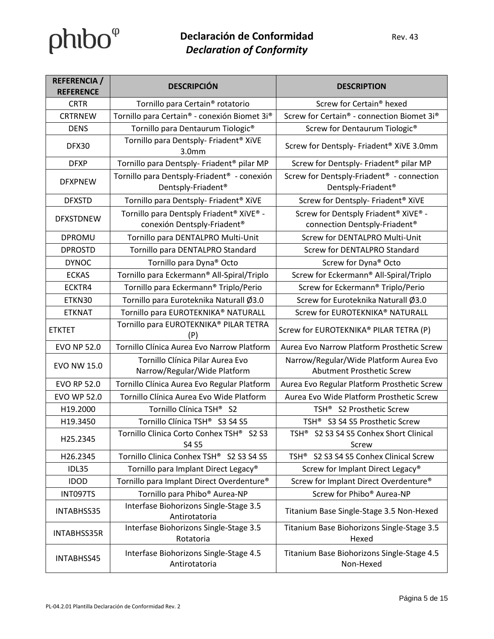| <b>REFERENCIA /</b><br><b>REFERENCE</b> | <b>DESCRIPCIÓN</b>                                                                        | <b>DESCRIPTION</b>                                                                      |
|-----------------------------------------|-------------------------------------------------------------------------------------------|-----------------------------------------------------------------------------------------|
| <b>CRTR</b>                             | Tornillo para Certain <sup>®</sup> rotatorio                                              | Screw for Certain <sup>®</sup> hexed                                                    |
| <b>CRTRNEW</b>                          | Tornillo para Certain® - conexión Biomet 3i®                                              | Screw for Certain® - connection Biomet 3i®                                              |
| <b>DENS</b>                             | Tornillo para Dentaurum Tiologic <sup>®</sup>                                             | Screw for Dentaurum Tiologic <sup>®</sup>                                               |
| DFX30                                   | Tornillo para Dentsply- Friadent <sup>®</sup> XiVE<br>3.0 <sub>mm</sub>                   | Screw for Dentsply- Friadent <sup>®</sup> XiVE 3.0mm                                    |
| <b>DFXP</b>                             | Tornillo para Dentsply- Friadent <sup>®</sup> pilar MP                                    | Screw for Dentsply- Friadent <sup>®</sup> pilar MP                                      |
| <b>DFXPNEW</b>                          | Tornillo para Dentsply-Friadent <sup>®</sup> - conexión<br>Dentsply-Friadent <sup>®</sup> | Screw for Dentsply-Friadent <sup>®</sup> - connection<br>Dentsply-Friadent <sup>®</sup> |
| <b>DFXSTD</b>                           | Tornillo para Dentsply- Friadent <sup>®</sup> XiVE                                        | Screw for Dentsply- Friadent® XiVE                                                      |
| <b>DFXSTDNEW</b>                        | Tornillo para Dentsply Friadent® XiVE® -<br>conexión Dentsply-Friadent <sup>®</sup>       | Screw for Dentsply Friadent® XiVE® -<br>connection Dentsply-Friadent®                   |
| <b>DPROMU</b>                           | Tornillo para DENTALPRO Multi-Unit                                                        | Screw for DENTALPRO Multi-Unit                                                          |
| <b>DPROSTD</b>                          | Tornillo para DENTALPRO Standard                                                          | Screw for DENTALPRO Standard                                                            |
| <b>DYNOC</b>                            | Tornillo para Dyna® Octo                                                                  | Screw for Dyna® Octo                                                                    |
| <b>ECKAS</b>                            | Tornillo para Eckermann® All-Spiral/Triplo                                                | Screw for Eckermann® All-Spiral/Triplo                                                  |
| ECKTR4                                  | Tornillo para Eckermann® Triplo/Perio                                                     | Screw for Eckermann® Triplo/Perio                                                       |
| ETKN30                                  | Tornillo para Euroteknika Naturall Ø3.0                                                   | Screw for Euroteknika Naturall Ø3.0                                                     |
| <b>ETKNAT</b>                           | Tornillo para EUROTEKNIKA® NATURALL                                                       | Screw for EUROTEKNIKA® NATURALL                                                         |
| <b>ETKTET</b>                           | Tornillo para EUROTEKNIKA® PILAR TETRA<br>(P)                                             | Screw for EUROTEKNIKA® PILAR TETRA (P)                                                  |
| <b>EVO NP 52.0</b>                      | Tornillo Clínica Aurea Evo Narrow Platform                                                | Aurea Evo Narrow Platform Prosthetic Screw                                              |
| <b>EVO NW 15.0</b>                      | Tornillo Clínica Pilar Aurea Evo<br>Narrow/Regular/Wide Platform                          | Narrow/Regular/Wide Platform Aurea Evo<br><b>Abutment Prosthetic Screw</b>              |
| <b>EVO RP 52.0</b>                      | Tornillo Clínica Aurea Evo Regular Platform                                               | Aurea Evo Regular Platform Prosthetic Screw                                             |
| <b>EVO WP 52.0</b>                      | Tornillo Clínica Aurea Evo Wide Platform                                                  | Aurea Evo Wide Platform Prosthetic Screw                                                |
| H19.2000                                | Tornillo Clínica TSH® S2                                                                  | TSH <sup>®</sup> S2 Prosthetic Screw                                                    |
| H19.3450                                | Tornillo Clínica TSH® S3 S4 S5                                                            | TSH <sup>®</sup> S3 S4 S5 Prosthetic Screw                                              |
| H25.2345                                | Tornillo Clinica Corto Conhex TSH® S2 S3<br>S4 S5                                         | TSH <sup>®</sup> S2 S3 S4 S5 Conhex Short Clinical<br>Screw                             |
| H26.2345                                | Tornillo Clinica Conhex TSH® S2 S3 S4 S5                                                  | TSH <sup>®</sup> S2 S3 S4 S5 Conhex Clinical Screw                                      |
| IDL35                                   | Tornillo para Implant Direct Legacy®                                                      | Screw for Implant Direct Legacy®                                                        |
| <b>IDOD</b>                             | Tornillo para Implant Direct Overdenture®                                                 | Screw for Implant Direct Overdenture®                                                   |
| INT097TS                                | Tornillo para Phibo <sup>®</sup> Aurea-NP                                                 | Screw for Phibo <sup>®</sup> Aurea-NP                                                   |
| INTABHSS35                              | Interfase Biohorizons Single-Stage 3.5<br>Antirotatoria                                   | Titanium Base Single-Stage 3.5 Non-Hexed                                                |
| <b>INTABHSS35R</b>                      | Interfase Biohorizons Single-Stage 3.5<br>Rotatoria                                       | Titanium Base Biohorizons Single-Stage 3.5<br>Hexed                                     |
| INTABHSS45                              | Interfase Biohorizons Single-Stage 4.5<br>Antirotatoria                                   | Titanium Base Biohorizons Single-Stage 4.5<br>Non-Hexed                                 |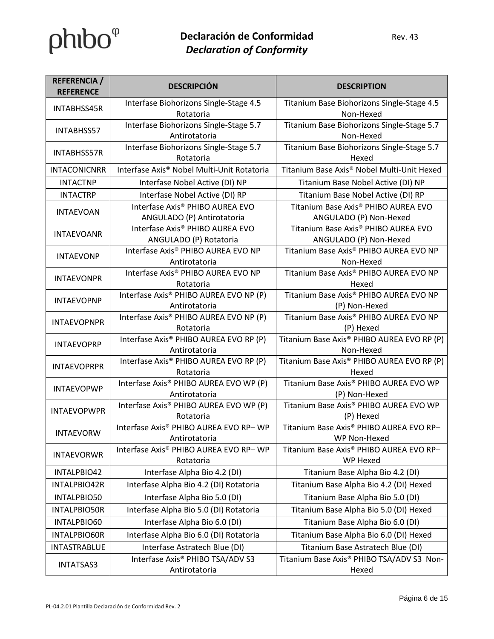| <b>REFERENCIA</b> /<br><b>REFERENCE</b> | <b>DESCRIPCIÓN</b>                                  | <b>DESCRIPTION</b>                                      |
|-----------------------------------------|-----------------------------------------------------|---------------------------------------------------------|
| INTABHSS45R                             | Interfase Biohorizons Single-Stage 4.5              | Titanium Base Biohorizons Single-Stage 4.5              |
|                                         | Rotatoria                                           | Non-Hexed                                               |
| INTABHSS57                              | Interfase Biohorizons Single-Stage 5.7              | Titanium Base Biohorizons Single-Stage 5.7              |
|                                         | Antirotatoria                                       | Non-Hexed                                               |
| <b>INTABHSS57R</b>                      | Interfase Biohorizons Single-Stage 5.7              | Titanium Base Biohorizons Single-Stage 5.7              |
|                                         | Rotatoria                                           | Hexed                                                   |
| <b>INTACONICNRR</b>                     | Interfase Axis® Nobel Multi-Unit Rotatoria          | Titanium Base Axis® Nobel Multi-Unit Hexed              |
| <b>INTACTNP</b>                         | Interfase Nobel Active (DI) NP                      | Titanium Base Nobel Active (DI) NP                      |
| <b>INTACTRP</b>                         | Interfase Nobel Active (DI) RP                      | Titanium Base Nobel Active (DI) RP                      |
| <b>INTAEVOAN</b>                        | Interfase Axis® PHIBO AUREA EVO                     | Titanium Base Axis® PHIBO AUREA EVO                     |
|                                         | ANGULADO (P) Antirotatoria                          | ANGULADO (P) Non-Hexed                                  |
| <b>INTAEVOANR</b>                       | Interfase Axis® PHIBO AUREA EVO                     | Titanium Base Axis® PHIBO AUREA EVO                     |
|                                         | ANGULADO (P) Rotatoria                              | ANGULADO (P) Non-Hexed                                  |
| <b>INTAEVONP</b>                        | Interfase Axis® PHIBO AUREA EVO NP                  | Titanium Base Axis® PHIBO AUREA EVO NP                  |
|                                         | Antirotatoria                                       | Non-Hexed                                               |
| <b>INTAEVONPR</b>                       | Interfase Axis® PHIBO AUREA EVO NP                  | Titanium Base Axis® PHIBO AUREA EVO NP                  |
|                                         | Rotatoria                                           | Hexed                                                   |
| <b>INTAEVOPNP</b>                       | Interfase Axis <sup>®</sup> PHIBO AUREA EVO NP (P)  | Titanium Base Axis® PHIBO AUREA EVO NP                  |
|                                         | Antirotatoria                                       | (P) Non-Hexed                                           |
| <b>INTAEVOPNPR</b>                      | Interfase Axis® PHIBO AUREA EVO NP (P)              | Titanium Base Axis® PHIBO AUREA EVO NP                  |
|                                         | Rotatoria<br>Interfase Axis® PHIBO AUREA EVO RP (P) | (P) Hexed<br>Titanium Base Axis® PHIBO AUREA EVO RP (P) |
| <b>INTAEVOPRP</b>                       | Antirotatoria                                       | Non-Hexed                                               |
|                                         | Interfase Axis® PHIBO AUREA EVO RP (P)              | Titanium Base Axis® PHIBO AUREA EVO RP (P)              |
| <b>INTAEVOPRPR</b>                      | Rotatoria                                           | Hexed                                                   |
|                                         | Interfase Axis® PHIBO AUREA EVO WP (P)              | Titanium Base Axis® PHIBO AUREA EVO WP                  |
| <b>INTAEVOPWP</b>                       | Antirotatoria                                       | (P) Non-Hexed                                           |
|                                         | Interfase Axis <sup>®</sup> PHIBO AUREA EVO WP (P)  | Titanium Base Axis® PHIBO AUREA EVO WP                  |
| <b>INTAEVOPWPR</b>                      | Rotatoria                                           | (P) Hexed                                               |
| <b>INTAEVORW</b>                        | Interfase Axis® PHIBO AUREA EVO RP- WP              | Titanium Base Axis® PHIBO AUREA EVO RP-                 |
|                                         | Antirotatoria                                       | WP Non-Hexed                                            |
| <b>INTAEVORWR</b>                       | Interfase Axis® PHIBO AUREA EVO RP- WP              | Titanium Base Axis® PHIBO AUREA EVO RP-                 |
|                                         | Rotatoria                                           | WP Hexed                                                |
| INTALPBIO42                             | Interfase Alpha Bio 4.2 (DI)                        | Titanium Base Alpha Bio 4.2 (DI)                        |
| INTALPBIO42R                            | Interfase Alpha Bio 4.2 (DI) Rotatoria              | Titanium Base Alpha Bio 4.2 (DI) Hexed                  |
| INTALPBIO50                             | Interfase Alpha Bio 5.0 (DI)                        | Titanium Base Alpha Bio 5.0 (DI)                        |
| INTALPBIO50R                            | Interfase Alpha Bio 5.0 (DI) Rotatoria              | Titanium Base Alpha Bio 5.0 (DI) Hexed                  |
| INTALPBIO60                             | Interfase Alpha Bio 6.0 (DI)                        | Titanium Base Alpha Bio 6.0 (DI)                        |
| INTALPBIO60R                            | Interfase Alpha Bio 6.0 (DI) Rotatoria              | Titanium Base Alpha Bio 6.0 (DI) Hexed                  |
| <b>INTASTRABLUE</b>                     | Interfase Astratech Blue (DI)                       | Titanium Base Astratech Blue (DI)                       |
|                                         | Interfase Axis® PHIBO TSA/ADV S3                    | Titanium Base Axis® PHIBO TSA/ADV S3 Non-               |
| <b>INTATSAS3</b>                        | Antirotatoria                                       | Hexed                                                   |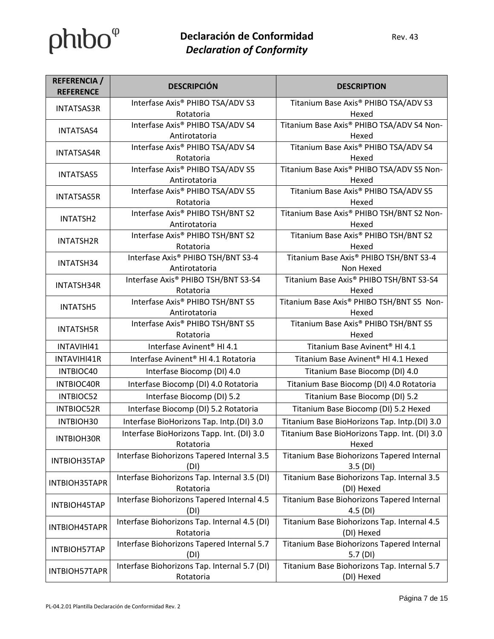| <b>REFERENCIA</b> /<br><b>REFERENCE</b> | <b>DESCRIPCIÓN</b>                              | <b>DESCRIPTION</b>                               |
|-----------------------------------------|-------------------------------------------------|--------------------------------------------------|
| <b>INTATSAS3R</b>                       | Interfase Axis® PHIBO TSA/ADV S3                | Titanium Base Axis <sup>®</sup> PHIBO TSA/ADV S3 |
|                                         | Rotatoria                                       | Hexed                                            |
| <b>INTATSAS4</b>                        | Interfase Axis® PHIBO TSA/ADV S4                | Titanium Base Axis® PHIBO TSA/ADV S4 Non-        |
|                                         | Antirotatoria                                   | Hexed                                            |
| <b>INTATSAS4R</b>                       | Interfase Axis® PHIBO TSA/ADV S4                | Titanium Base Axis® PHIBO TSA/ADV S4             |
|                                         | Rotatoria                                       | Hexed                                            |
| <b>INTATSAS5</b>                        | Interfase Axis® PHIBO TSA/ADV S5                | Titanium Base Axis® PHIBO TSA/ADV S5 Non-        |
|                                         | Antirotatoria                                   | Hexed                                            |
| <b>INTATSAS5R</b>                       | Interfase Axis® PHIBO TSA/ADV S5                | Titanium Base Axis® PHIBO TSA/ADV S5             |
|                                         | Rotatoria                                       | Hexed                                            |
| INTATSH2                                | Interfase Axis® PHIBO TSH/BNT S2                | Titanium Base Axis® PHIBO TSH/BNT S2 Non-        |
|                                         | Antirotatoria                                   | Hexed                                            |
| <b>INTATSH2R</b>                        | Interfase Axis® PHIBO TSH/BNT S2<br>Rotatoria   | Titanium Base Axis® PHIBO TSH/BNT S2<br>Hexed    |
|                                         | Interfase Axis® PHIBO TSH/BNT S3-4              | Titanium Base Axis® PHIBO TSH/BNT S3-4           |
| INTATSH34                               | Antirotatoria                                   | Non Hexed                                        |
|                                         | Interfase Axis® PHIBO TSH/BNT S3-S4             | Titanium Base Axis® PHIBO TSH/BNT S3-S4          |
| INTATSH34R                              | Rotatoria                                       | Hexed                                            |
|                                         | Interfase Axis® PHIBO TSH/BNT S5                | Titanium Base Axis® PHIBO TSH/BNT S5 Non-        |
| <b>INTATSH5</b>                         | Antirotatoria                                   | Hexed                                            |
|                                         | Interfase Axis® PHIBO TSH/BNT S5                | Titanium Base Axis® PHIBO TSH/BNT S5             |
| <b>INTATSH5R</b>                        | Rotatoria                                       | Hexed                                            |
| INTAVIHI41                              | Interfase Avinent <sup>®</sup> HI 4.1           | Titanium Base Avinent <sup>®</sup> HI 4.1        |
| INTAVIHI41R                             | Interfase Avinent <sup>®</sup> HI 4.1 Rotatoria | Titanium Base Avinent <sup>®</sup> HI 4.1 Hexed  |
| INTBIOC40                               | Interfase Biocomp (DI) 4.0                      | Titanium Base Biocomp (DI) 4.0                   |
| INTBIOC40R                              | Interfase Biocomp (DI) 4.0 Rotatoria            | Titanium Base Biocomp (DI) 4.0 Rotatoria         |
| INTBIOC52                               | Interfase Biocomp (DI) 5.2                      | Titanium Base Biocomp (DI) 5.2                   |
| <b>INTBIOC52R</b>                       | Interfase Biocomp (DI) 5.2 Rotatoria            | Titanium Base Biocomp (DI) 5.2 Hexed             |
| INTBIOH30                               | Interfase BioHorizons Tap. Intp.(DI) 3.0        | Titanium Base BioHorizons Tap. Intp.(DI) 3.0     |
|                                         | Interfase BioHorizons Tapp. Int. (DI) 3.0       | Titanium Base BioHorizons Tapp. Int. (DI) 3.0    |
| <b>INTBIOH30R</b>                       | Rotatoria                                       | Hexed                                            |
| INTBIOH35TAP                            | Interfase Biohorizons Tapered Internal 3.5      | Titanium Base Biohorizons Tapered Internal       |
|                                         | (DI)                                            | $3.5$ (DI)                                       |
| INTBIOH35TAPR                           | Interfase Biohorizons Tap. Internal 3.5 (DI)    | Titanium Base Biohorizons Tap. Internal 3.5      |
|                                         | Rotatoria                                       | (DI) Hexed                                       |
| INTBIOH45TAP                            | Interfase Biohorizons Tapered Internal 4.5      | Titanium Base Biohorizons Tapered Internal       |
|                                         | (DI)                                            | $4.5$ (DI)                                       |
| INTBIOH45TAPR                           | Interfase Biohorizons Tap. Internal 4.5 (DI)    | Titanium Base Biohorizons Tap. Internal 4.5      |
|                                         | Rotatoria                                       | (DI) Hexed                                       |
| INTBIOH57TAP                            | Interfase Biohorizons Tapered Internal 5.7      | Titanium Base Biohorizons Tapered Internal       |
|                                         | (DI)                                            | 5.7(DI)                                          |
| INTBIOH57TAPR                           | Interfase Biohorizons Tap. Internal 5.7 (DI)    | Titanium Base Biohorizons Tap. Internal 5.7      |
|                                         | Rotatoria                                       | (DI) Hexed                                       |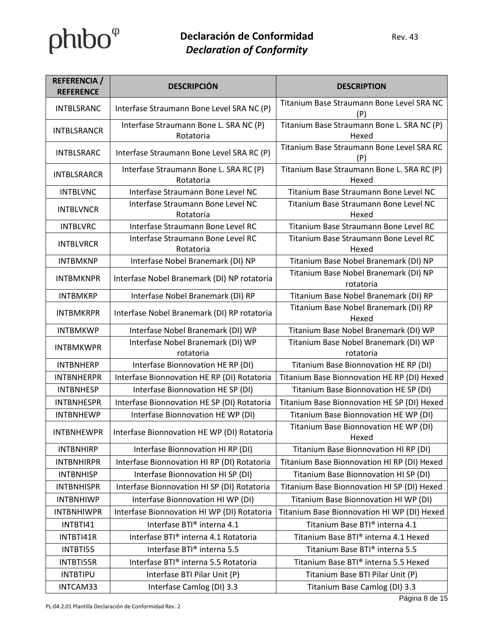| <b>REFERENCIA</b> /<br><b>REFERENCE</b> | <b>DESCRIPCIÓN</b>                                  | <b>DESCRIPTION</b>                                  |
|-----------------------------------------|-----------------------------------------------------|-----------------------------------------------------|
| <b>INTBLSRANC</b>                       | Interfase Straumann Bone Level SRA NC (P)           | Titanium Base Straumann Bone Level SRA NC<br>(P)    |
| <b>INTBLSRANCR</b>                      | Interfase Straumann Bone L. SRA NC (P)<br>Rotatoria | Titanium Base Straumann Bone L. SRA NC (P)<br>Hexed |
| <b>INTBLSRARC</b>                       | Interfase Straumann Bone Level SRA RC (P)           | Titanium Base Straumann Bone Level SRA RC<br>(P)    |
| <b>INTBLSRARCR</b>                      | Interfase Straumann Bone L. SRA RC (P)<br>Rotatoria | Titanium Base Straumann Bone L. SRA RC (P)<br>Hexed |
| <b>INTBLVNC</b>                         | Interfase Straumann Bone Level NC                   | Titanium Base Straumann Bone Level NC               |
| <b>INTBLVNCR</b>                        | Interfase Straumann Bone Level NC<br>Rotatoria      | Titanium Base Straumann Bone Level NC<br>Hexed      |
| <b>INTBLVRC</b>                         | Interfase Straumann Bone Level RC                   | Titanium Base Straumann Bone Level RC               |
| <b>INTBLVRCR</b>                        | Interfase Straumann Bone Level RC<br>Rotatoria      | Titanium Base Straumann Bone Level RC<br>Hexed      |
| <b>INTBMKNP</b>                         | Interfase Nobel Branemark (DI) NP                   | Titanium Base Nobel Branemark (DI) NP               |
| <b>INTBMKNPR</b>                        | Interfase Nobel Branemark (DI) NP rotatoria         | Titanium Base Nobel Branemark (DI) NP<br>rotatoria  |
| <b>INTBMKRP</b>                         | Interfase Nobel Branemark (DI) RP                   | Titanium Base Nobel Branemark (DI) RP               |
| <b>INTBMKRPR</b>                        | Interfase Nobel Branemark (DI) RP rotatoria         | Titanium Base Nobel Branemark (DI) RP<br>Hexed      |
| <b>INTBMKWP</b>                         | Interfase Nobel Branemark (DI) WP                   | Titanium Base Nobel Branemark (DI) WP               |
| <b>INTBMKWPR</b>                        | Interfase Nobel Branemark (DI) WP<br>rotatoria      | Titanium Base Nobel Branemark (DI) WP<br>rotatoria  |
| <b>INTBNHERP</b>                        | Interfase Bionnovation HE RP (DI)                   | Titanium Base Bionnovation HE RP (DI)               |
| <b>INTBNHERPR</b>                       | Interfase Bionnovation HE RP (DI) Rotatoria         | Titanium Base Bionnovation HE RP (DI) Hexed         |
| <b>INTBNHESP</b>                        | Interfase Bionnovation HE SP (DI)                   | Titanium Base Bionnovation HE SP (DI)               |
| <b>INTBNHESPR</b>                       | Interfase Bionnovation HE SP (DI) Rotatoria         | Titanium Base Bionnovation HE SP (DI) Hexed         |
| <b>INTBNHEWP</b>                        | Interfase Bionnovation HE WP (DI)                   | Titanium Base Bionnovation HE WP (DI)               |
| <b>INTBNHEWPR</b>                       | Interfase Bionnovation HE WP (DI) Rotatoria         | Titanium Base Bionnovation HE WP (DI)<br>Hexed      |
| <b>INTBNHIRP</b>                        | Interfase Bionnovation HI RP (DI)                   | Titanium Base Bionnovation HI RP (DI)               |
| <b>INTBNHIRPR</b>                       | Interfase Bionnovation HI RP (DI) Rotatoria         | Titanium Base Bionnovation HI RP (DI) Hexed         |
| <b>INTBNHISP</b>                        | Interfase Bionnovation HI SP (DI)                   | Titanium Base Bionnovation HI SP (DI)               |
| <b>INTBNHISPR</b>                       | Interfase Bionnovation HI SP (DI) Rotatoria         | Titanium Base Bionnovation HI SP (DI) Hexed         |
| <b>INTBNHIWP</b>                        | Interfase Bionnovation HI WP (DI)                   | Titanium Base Bionnovation HI WP (DI)               |
| <b>INTBNHIWPR</b>                       | Interfase Bionnovation HI WP (DI) Rotatoria         | Titanium Base Bionnovation HI WP (DI) Hexed         |
| INTBTI41                                | Interfase BTI® interna 4.1                          | Titanium Base BTI® interna 4.1                      |
| INTBTI41R                               | Interfase BTI® interna 4.1 Rotatoria                | Titanium Base BTI® interna 4.1 Hexed                |
| INTBTI55                                | Interfase BTI® interna 5.5                          | Titanium Base BTI® interna 5.5                      |
| INTBTI55R                               | Interfase BTI® interna 5.5 Rotatoria                | Titanium Base BTI® interna 5.5 Hexed                |
| <b>INTBTIPU</b>                         | Interfase BTI Pilar Unit (P)                        | Titanium Base BTI Pilar Unit (P)                    |
| INTCAM33                                | Interfase Camlog (DI) 3.3                           | Titanium Base Camlog (DI) 3.3                       |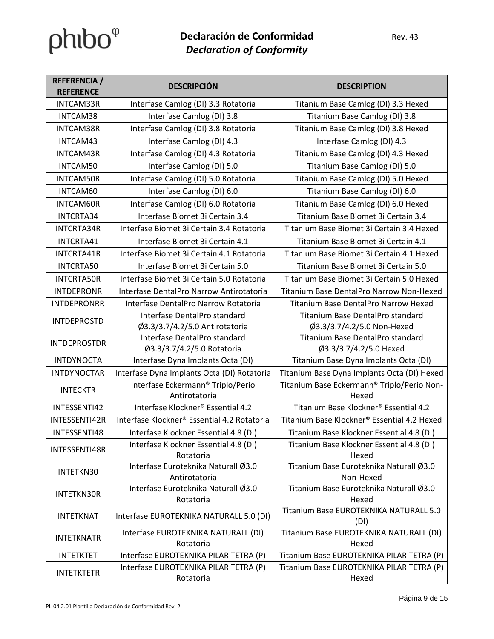| <b>REFERENCIA</b> /<br><b>REFERENCE</b> | <b>DESCRIPCIÓN</b>                                         | <b>DESCRIPTION</b>                                         |
|-----------------------------------------|------------------------------------------------------------|------------------------------------------------------------|
| INTCAM33R                               | Interfase Camlog (DI) 3.3 Rotatoria                        | Titanium Base Camlog (DI) 3.3 Hexed                        |
| INTCAM38                                | Interfase Camlog (DI) 3.8                                  | Titanium Base Camlog (DI) 3.8                              |
| <b>INTCAM38R</b>                        | Interfase Camlog (DI) 3.8 Rotatoria                        | Titanium Base Camlog (DI) 3.8 Hexed                        |
| INTCAM43                                | Interfase Camlog (DI) 4.3                                  | Interfase Camlog (DI) 4.3                                  |
| INTCAM43R                               | Interfase Camlog (DI) 4.3 Rotatoria                        | Titanium Base Camlog (DI) 4.3 Hexed                        |
| INTCAM50                                | Interfase Camlog (DI) 5.0                                  | Titanium Base Camlog (DI) 5.0                              |
| <b>INTCAM50R</b>                        | Interfase Camlog (DI) 5.0 Rotatoria                        | Titanium Base Camlog (DI) 5.0 Hexed                        |
| INTCAM60                                | Interfase Camlog (DI) 6.0                                  | Titanium Base Camlog (DI) 6.0                              |
| <b>INTCAM60R</b>                        | Interfase Camlog (DI) 6.0 Rotatoria                        | Titanium Base Camlog (DI) 6.0 Hexed                        |
| INTCRTA34                               | Interfase Biomet 3i Certain 3.4                            | Titanium Base Biomet 3i Certain 3.4                        |
| <b>INTCRTA34R</b>                       | Interfase Biomet 3i Certain 3.4 Rotatoria                  | Titanium Base Biomet 3i Certain 3.4 Hexed                  |
| INTCRTA41                               | Interfase Biomet 3i Certain 4.1                            | Titanium Base Biomet 3i Certain 4.1                        |
| INTCRTA41R                              | Interfase Biomet 3i Certain 4.1 Rotatoria                  | Titanium Base Biomet 3i Certain 4.1 Hexed                  |
| <b>INTCRTA50</b>                        | Interfase Biomet 3i Certain 5.0                            | Titanium Base Biomet 3i Certain 5.0                        |
| <b>INTCRTA50R</b>                       | Interfase Biomet 3i Certain 5.0 Rotatoria                  | Titanium Base Biomet 3i Certain 5.0 Hexed                  |
| <b>INTDEPRONR</b>                       | Interfase DentalPro Narrow Antirotatoria                   | Titanium Base DentalPro Narrow Non-Hexed                   |
| <b>INTDEPRONRR</b>                      | Interfase DentalPro Narrow Rotatoria                       | Titanium Base DentalPro Narrow Hexed                       |
| <b>INTDEPROSTD</b>                      | Interfase DentalPro standard                               | Titanium Base DentalPro standard                           |
|                                         | Ø3.3/3.7/4.2/5.0 Antirotatoria                             | Ø3.3/3.7/4.2/5.0 Non-Hexed                                 |
| <b>INTDEPROSTDR</b>                     | Interfase DentalPro standard<br>Ø3.3/3.7/4.2/5.0 Rotatoria | Titanium Base DentalPro standard<br>Ø3.3/3.7/4.2/5.0 Hexed |
| <b>INTDYNOCTA</b>                       | Interfase Dyna Implants Octa (DI)                          | Titanium Base Dyna Implants Octa (DI)                      |
| <b>INTDYNOCTAR</b>                      | Interfase Dyna Implants Octa (DI) Rotatoria                | Titanium Base Dyna Implants Octa (DI) Hexed                |
|                                         | Interfase Eckermann® Triplo/Perio                          | Titanium Base Eckermann® Triplo/Perio Non-                 |
| <b>INTECKTR</b>                         | Antirotatoria                                              | Hexed                                                      |
| INTESSENTI42                            | Interfase Klockner® Essential 4.2                          | Titanium Base Klockner® Essential 4.2                      |
| INTESSENTI42R                           | Interfase Klockner® Essential 4.2 Rotatoria                | Titanium Base Klockner® Essential 4.2 Hexed                |
| INTESSENTI48                            | Interfase Klockner Essential 4.8 (DI)                      | Titanium Base Klockner Essential 4.8 (DI)                  |
| INTESSENTI48R                           | Interfase Klockner Essential 4.8 (DI)<br>Rotatoria         | Titanium Base Klockner Essential 4.8 (DI)<br>Hexed         |
| INTETKN30                               | Interfase Euroteknika Naturall Ø3.0<br>Antirotatoria       | Titanium Base Euroteknika Naturall Ø3.0<br>Non-Hexed       |
| <b>INTETKN30R</b>                       | Interfase Euroteknika Naturall Ø3.0<br>Rotatoria           | Titanium Base Euroteknika Naturall Ø3.0<br>Hexed           |
| <b>INTETKNAT</b>                        | Interfase EUROTEKNIKA NATURALL 5.0 (DI)                    | Titanium Base EUROTEKNIKA NATURALL 5.0<br>(DI)             |
| <b>INTETKNATR</b>                       | Interfase EUROTEKNIKA NATURALL (DI)<br>Rotatoria           | Titanium Base EUROTEKNIKA NATURALL (DI)<br>Hexed           |
| <b>INTETKTET</b>                        | Interfase EUROTEKNIKA PILAR TETRA (P)                      | Titanium Base EUROTEKNIKA PILAR TETRA (P)                  |
| <b>INTETKTETR</b>                       | Interfase EUROTEKNIKA PILAR TETRA (P)<br>Rotatoria         | Titanium Base EUROTEKNIKA PILAR TETRA (P)<br>Hexed         |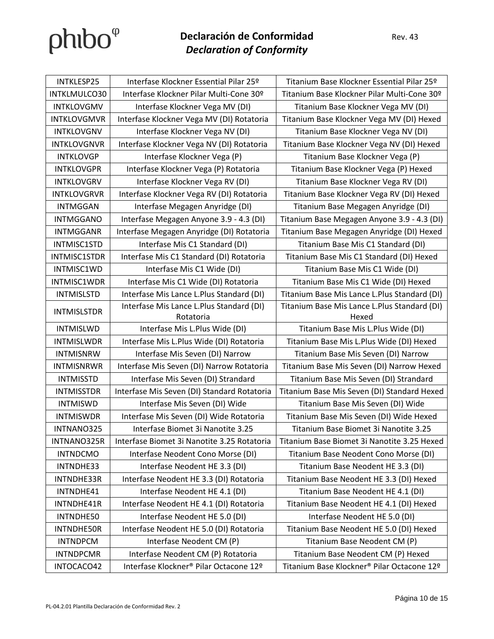| INTKLESP25         | Interfase Klockner Essential Pilar 25º      | Titanium Base Klockner Essential Pilar 25º   |
|--------------------|---------------------------------------------|----------------------------------------------|
| INTKLMULCO30       | Interfase Klockner Pilar Multi-Cone 30º     | Titanium Base Klockner Pilar Multi-Cone 30º  |
| INTKLOVGMV         | Interfase Klockner Vega MV (DI)             | Titanium Base Klockner Vega MV (DI)          |
| <b>INTKLOVGMVR</b> | Interfase Klockner Vega MV (DI) Rotatoria   | Titanium Base Klockner Vega MV (DI) Hexed    |
| <b>INTKLOVGNV</b>  | Interfase Klockner Vega NV (DI)             | Titanium Base Klockner Vega NV (DI)          |
| <b>INTKLOVGNVR</b> | Interfase Klockner Vega NV (DI) Rotatoria   | Titanium Base Klockner Vega NV (DI) Hexed    |
| <b>INTKLOVGP</b>   | Interfase Klockner Vega (P)                 | Titanium Base Klockner Vega (P)              |
| <b>INTKLOVGPR</b>  | Interfase Klockner Vega (P) Rotatoria       | Titanium Base Klockner Vega (P) Hexed        |
| <b>INTKLOVGRV</b>  | Interfase Klockner Vega RV (DI)             | Titanium Base Klockner Vega RV (DI)          |
| <b>INTKLOVGRVR</b> | Interfase Klockner Vega RV (DI) Rotatoria   | Titanium Base Klockner Vega RV (DI) Hexed    |
| <b>INTMGGAN</b>    | Interfase Megagen Anyridge (DI)             | Titanium Base Megagen Anyridge (DI)          |
| <b>INTMGGANO</b>   | Interfase Megagen Anyone 3.9 - 4.3 (DI)     | Titanium Base Megagen Anyone 3.9 - 4.3 (DI)  |
| <b>INTMGGANR</b>   | Interfase Megagen Anyridge (DI) Rotatoria   | Titanium Base Megagen Anyridge (DI) Hexed    |
| INTMISC1STD        | Interfase Mis C1 Standard (DI)              | Titanium Base Mis C1 Standard (DI)           |
| INTMISC1STDR       | Interfase Mis C1 Standard (DI) Rotatoria    | Titanium Base Mis C1 Standard (DI) Hexed     |
| INTMISC1WD         | Interfase Mis C1 Wide (DI)                  | Titanium Base Mis C1 Wide (DI)               |
| INTMISC1WDR        | Interfase Mis C1 Wide (DI) Rotatoria        | Titanium Base Mis C1 Wide (DI) Hexed         |
| <b>INTMISLSTD</b>  | Interfase Mis Lance L.Plus Standard (DI)    | Titanium Base Mis Lance L.Plus Standard (DI) |
| <b>INTMISLSTDR</b> | Interfase Mis Lance L.Plus Standard (DI)    | Titanium Base Mis Lance L.Plus Standard (DI) |
|                    | Rotatoria                                   | Hexed                                        |
| <b>INTMISLWD</b>   | Interfase Mis L.Plus Wide (DI)              | Titanium Base Mis L.Plus Wide (DI)           |
| <b>INTMISLWDR</b>  | Interfase Mis L.Plus Wide (DI) Rotatoria    | Titanium Base Mis L.Plus Wide (DI) Hexed     |
| <b>INTMISNRW</b>   | Interfase Mis Seven (DI) Narrow             | Titanium Base Mis Seven (DI) Narrow          |
| <b>INTMISNRWR</b>  | Interfase Mis Seven (DI) Narrow Rotatoria   | Titanium Base Mis Seven (DI) Narrow Hexed    |
| <b>INTMISSTD</b>   | Interfase Mis Seven (DI) Strandard          | Titanium Base Mis Seven (DI) Strandard       |
| <b>INTMISSTDR</b>  | Interfase Mis Seven (DI) Standard Rotatoria | Titanium Base Mis Seven (DI) Standard Hexed  |
| <b>INTMISWD</b>    | Interfase Mis Seven (DI) Wide               | Titanium Base Mis Seven (DI) Wide            |
| <b>INTMISWDR</b>   | Interfase Mis Seven (DI) Wide Rotatoria     | Titanium Base Mis Seven (DI) Wide Hexed      |
| INTNANO325         | Interfase Biomet 3i Nanotite 3.25           | Titanium Base Biomet 3i Nanotite 3.25        |
| INTNANO325R        | Interfase Biomet 3i Nanotite 3.25 Rotatoria | Titanium Base Biomet 3i Nanotite 3.25 Hexed  |
| <b>INTNDCMO</b>    | Interfase Neodent Cono Morse (DI)           | Titanium Base Neodent Cono Morse (DI)        |
| INTNDHE33          | Interfase Neodent HE 3.3 (DI)               | Titanium Base Neodent HE 3.3 (DI)            |
| INTNDHE33R         | Interfase Neodent HE 3.3 (DI) Rotatoria     | Titanium Base Neodent HE 3.3 (DI) Hexed      |
| INTNDHE41          | Interfase Neodent HE 4.1 (DI)               | Titanium Base Neodent HE 4.1 (DI)            |
| INTNDHE41R         | Interfase Neodent HE 4.1 (DI) Rotatoria     | Titanium Base Neodent HE 4.1 (DI) Hexed      |
| INTNDHE50          | Interfase Neodent HE 5.0 (DI)               | Interfase Neodent HE 5.0 (DI)                |
| INTNDHE50R         | Interfase Neodent HE 5.0 (DI) Rotatoria     | Titanium Base Neodent HE 5.0 (DI) Hexed      |
| <b>INTNDPCM</b>    | Interfase Neodent CM (P)                    | Titanium Base Neodent CM (P)                 |
| <b>INTNDPCMR</b>   | Interfase Neodent CM (P) Rotatoria          | Titanium Base Neodent CM (P) Hexed           |
| INTOCACO42         | Interfase Klockner® Pilar Octacone 12º      | Titanium Base Klockner® Pilar Octacone 12º   |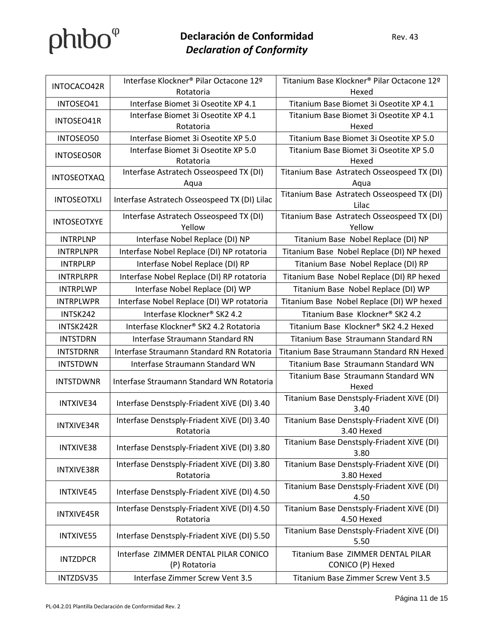| INTOCACO42R        | Interfase Klockner® Pilar Octacone 12º                   | Titanium Base Klockner® Pilar Octacone 12º               |
|--------------------|----------------------------------------------------------|----------------------------------------------------------|
|                    | Rotatoria                                                | Hexed                                                    |
| INTOSEO41          | Interfase Biomet 3i Oseotite XP 4.1                      | Titanium Base Biomet 3i Oseotite XP 4.1                  |
| INTOSEO41R         | Interfase Biomet 3i Oseotite XP 4.1                      | Titanium Base Biomet 3i Oseotite XP 4.1                  |
|                    | Rotatoria                                                | Hexed                                                    |
| INTOSEO50          | Interfase Biomet 3i Oseotite XP 5.0                      | Titanium Base Biomet 3i Oseotite XP 5.0                  |
| <b>INTOSEO50R</b>  | Interfase Biomet 3i Oseotite XP 5.0<br>Rotatoria         | Titanium Base Biomet 3i Oseotite XP 5.0<br>Hexed         |
| <b>INTOSEOTXAQ</b> | Interfase Astratech Osseospeed TX (DI)<br>Aqua           | Titanium Base Astratech Osseospeed TX (DI)<br>Aqua       |
| <b>INTOSEOTXLI</b> | Interfase Astratech Osseospeed TX (DI) Lilac             | Titanium Base Astratech Osseospeed TX (DI)<br>Lilac      |
| <b>INTOSEOTXYE</b> | Interfase Astratech Osseospeed TX (DI)<br>Yellow         | Titanium Base Astratech Osseospeed TX (DI)<br>Yellow     |
| <b>INTRPLNP</b>    | Interfase Nobel Replace (DI) NP                          | Titanium Base Nobel Replace (DI) NP                      |
| <b>INTRPLNPR</b>   | Interfase Nobel Replace (DI) NP rotatoria                | Titanium Base Nobel Replace (DI) NP hexed                |
| <b>INTRPLRP</b>    | Interfase Nobel Replace (DI) RP                          | Titanium Base Nobel Replace (DI) RP                      |
| <b>INTRPLRPR</b>   | Interfase Nobel Replace (DI) RP rotatoria                | Titanium Base Nobel Replace (DI) RP hexed                |
| <b>INTRPLWP</b>    | Interfase Nobel Replace (DI) WP                          | Titanium Base Nobel Replace (DI) WP                      |
| <b>INTRPLWPR</b>   | Interfase Nobel Replace (DI) WP rotatoria                | Titanium Base Nobel Replace (DI) WP hexed                |
| INTSK242           | Interfase Klockner <sup>®</sup> SK2 4.2                  | Titanium Base Klockner® SK2 4.2                          |
| INTSK242R          | Interfase Klockner® SK2 4.2 Rotatoria                    | Titanium Base Klockner® SK2 4.2 Hexed                    |
| <b>INTSTDRN</b>    | Interfase Straumann Standard RN                          | Titanium Base Straumann Standard RN                      |
| <b>INTSTDRNR</b>   | Interfase Straumann Standard RN Rotatoria                | Titanium Base Straumann Standard RN Hexed                |
| <b>INTSTDWN</b>    | Interfase Straumann Standard WN                          | Titanium Base Straumann Standard WN                      |
| <b>INTSTDWNR</b>   | Interfase Straumann Standard WN Rotatoria                | Titanium Base Straumann Standard WN<br>Hexed             |
| INTXIVE34          | Interfase Denstsply-Friadent XiVE (DI) 3.40              | Titanium Base Denstsply-Friadent XiVE (DI)<br>3.40       |
| <b>INTXIVE34R</b>  | Interfase Denstsply-Friadent XiVE (DI) 3.40<br>Rotatoria | Titanium Base Denstsply-Friadent XiVE (DI)<br>3.40 Hexed |
| INTXIVE38          | Interfase Denstsply-Friadent XiVE (DI) 3.80              | Titanium Base Denstsply-Friadent XiVE (DI)<br>3.80       |
| <b>INTXIVE38R</b>  | Interfase Denstsply-Friadent XiVE (DI) 3.80<br>Rotatoria | Titanium Base Denstsply-Friadent XiVE (DI)<br>3.80 Hexed |
| INTXIVE45          | Interfase Denstsply-Friadent XiVE (DI) 4.50              | Titanium Base Denstsply-Friadent XiVE (DI)<br>4.50       |
| <b>INTXIVE45R</b>  | Interfase Denstsply-Friadent XiVE (DI) 4.50<br>Rotatoria | Titanium Base Denstsply-Friadent XiVE (DI)<br>4.50 Hexed |
| <b>INTXIVE55</b>   | Interfase Denstsply-Friadent XiVE (DI) 5.50              | Titanium Base Denstsply-Friadent XiVE (DI)<br>5.50       |
| <b>INTZDPCR</b>    | Interfase ZIMMER DENTAL PILAR CONICO<br>(P) Rotatoria    | Titanium Base ZIMMER DENTAL PILAR<br>CONICO (P) Hexed    |
| INTZDSV35          | Interfase Zimmer Screw Vent 3.5                          | Titanium Base Zimmer Screw Vent 3.5                      |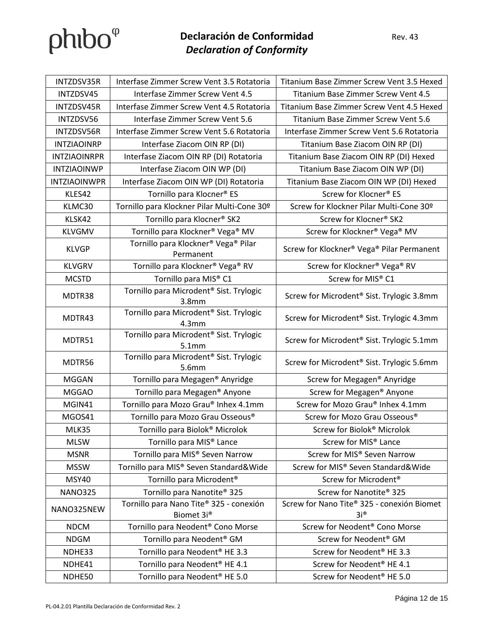| INTZDSV35R          | Interfase Zimmer Screw Vent 3.5 Rotatoria                                | Titanium Base Zimmer Screw Vent 3.5 Hexed                      |
|---------------------|--------------------------------------------------------------------------|----------------------------------------------------------------|
| INTZDSV45           | Interfase Zimmer Screw Vent 4.5                                          | Titanium Base Zimmer Screw Vent 4.5                            |
| INTZDSV45R          | Interfase Zimmer Screw Vent 4.5 Rotatoria                                | Titanium Base Zimmer Screw Vent 4.5 Hexed                      |
| INTZDSV56           | Interfase Zimmer Screw Vent 5.6                                          | Titanium Base Zimmer Screw Vent 5.6                            |
| INTZDSV56R          | Interfase Zimmer Screw Vent 5.6 Rotatoria                                | Interfase Zimmer Screw Vent 5.6 Rotatoria                      |
| <b>INTZIAOINRP</b>  | Interfase Ziacom OIN RP (DI)                                             | Titanium Base Ziacom OIN RP (DI)                               |
| <b>INTZIAOINRPR</b> | Interfase Ziacom OIN RP (DI) Rotatoria                                   | Titanium Base Ziacom OIN RP (DI) Hexed                         |
| <b>INTZIAOINWP</b>  | Interfase Ziacom OIN WP (DI)                                             | Titanium Base Ziacom OIN WP (DI)                               |
| <b>INTZIAOINWPR</b> | Interfase Ziacom OIN WP (DI) Rotatoria                                   | Titanium Base Ziacom OIN WP (DI) Hexed                         |
| KLES42              | Tornillo para Klocner <sup>®</sup> ES                                    | Screw for Klocner® ES                                          |
| KLMC30              | Tornillo para Klockner Pilar Multi-Cone 30º                              | Screw for Klockner Pilar Multi-Cone 30º                        |
| KLSK42              | Tornillo para Klocner <sup>®</sup> SK2                                   | Screw for Klocner <sup>®</sup> SK2                             |
| <b>KLVGMV</b>       | Tornillo para Klockner <sup>®</sup> Vega <sup>®</sup> MV                 | Screw for Klockner® Vega® MV                                   |
| <b>KLVGP</b>        | Tornillo para Klockner <sup>®</sup> Vega <sup>®</sup> Pilar<br>Permanent | Screw for Klockner® Vega® Pilar Permanent                      |
| <b>KLVGRV</b>       | Tornillo para Klockner <sup>®</sup> Vega <sup>®</sup> RV                 | Screw for Klockner <sup>®</sup> Vega <sup>®</sup> RV           |
| <b>MCSTD</b>        | Tornillo para MIS® C1                                                    | Screw for MIS® C1                                              |
| MDTR38              | Tornillo para Microdent <sup>®</sup> Sist. Trylogic<br>3.8 <sub>mm</sub> | Screw for Microdent <sup>®</sup> Sist. Trylogic 3.8mm          |
| MDTR43              | Tornillo para Microdent <sup>®</sup> Sist. Trylogic<br>4.3 <sub>mm</sub> | Screw for Microdent <sup>®</sup> Sist. Trylogic 4.3mm          |
| MDTR51              | Tornillo para Microdent <sup>®</sup> Sist. Trylogic<br>5.1mm             | Screw for Microdent® Sist. Trylogic 5.1mm                      |
| MDTR56              | Tornillo para Microdent <sup>®</sup> Sist. Trylogic<br>5.6mm             | Screw for Microdent® Sist. Trylogic 5.6mm                      |
| <b>MGGAN</b>        | Tornillo para Megagen <sup>®</sup> Anyridge                              | Screw for Megagen® Anyridge                                    |
| <b>MGGAO</b>        | Tornillo para Megagen® Anyone                                            | Screw for Megagen® Anyone                                      |
| MGIN41              | Tornillo para Mozo Grau® Inhex 4.1mm                                     | Screw for Mozo Grau® Inhex 4.1mm                               |
| MGOS41              | Tornillo para Mozo Grau Osseous <sup>®</sup>                             | Screw for Mozo Grau Osseous®                                   |
| MLK35               | Tornillo para Biolok <sup>®</sup> Microlok                               | Screw for Biolok® Microlok                                     |
| <b>MLSW</b>         | Tornillo para MIS <sup>®</sup> Lance                                     | Screw for MIS® Lance                                           |
| <b>MSNR</b>         | Tornillo para MIS® Seven Narrow                                          | Screw for MIS® Seven Narrow                                    |
| <b>MSSW</b>         | Tornillo para MIS® Seven Standard&Wide                                   | Screw for MIS® Seven Standard&Wide                             |
| <b>MSY40</b>        | Tornillo para Microdent <sup>®</sup>                                     | Screw for Microdent <sup>®</sup>                               |
| <b>NANO325</b>      | Tornillo para Nanotite <sup>®</sup> 325                                  | Screw for Nanotite® 325                                        |
| NANO325NEW          | Tornillo para Nano Tite® 325 - conexión<br>Biomet 3i®                    | Screw for Nano Tite® 325 - conexión Biomet<br>$3i^{\circledR}$ |
| <b>NDCM</b>         | Tornillo para Neodent <sup>®</sup> Cono Morse                            | Screw for Neodent <sup>®</sup> Cono Morse                      |
| <b>NDGM</b>         | Tornillo para Neodent <sup>®</sup> GM                                    | Screw for Neodent <sup>®</sup> GM                              |
| NDHE33              | Tornillo para Neodent <sup>®</sup> HE 3.3                                | Screw for Neodent <sup>®</sup> HE 3.3                          |
| NDHE41              | Tornillo para Neodent <sup>®</sup> HE 4.1                                | Screw for Neodent® HE 4.1                                      |
| NDHE50              | Tornillo para Neodent <sup>®</sup> HE 5.0                                | Screw for Neodent <sup>®</sup> HE 5.0                          |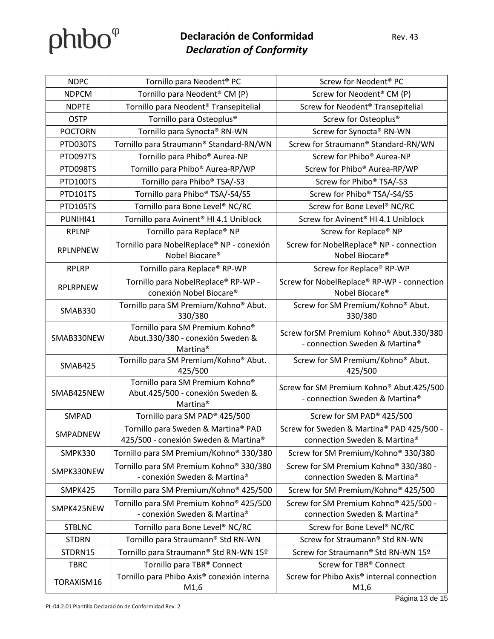| <b>NDPC</b>     | Tornillo para Neodent <sup>®</sup> PC                                                                   | Screw for Neodent <sup>®</sup> PC                                          |
|-----------------|---------------------------------------------------------------------------------------------------------|----------------------------------------------------------------------------|
| <b>NDPCM</b>    | Tornillo para Neodent <sup>®</sup> CM (P)                                                               | Screw for Neodent® CM (P)                                                  |
| <b>NDPTE</b>    | Tornillo para Neodent <sup>®</sup> Transepitelial                                                       | Screw for Neodent <sup>®</sup> Transepitelial                              |
| <b>OSTP</b>     | Tornillo para Osteoplus <sup>®</sup>                                                                    | Screw for Osteoplus <sup>®</sup>                                           |
| <b>POCTORN</b>  | Tornillo para Synocta® RN-WN                                                                            | Screw for Synocta® RN-WN                                                   |
| PTD030TS        | Tornillo para Straumann® Standard-RN/WN                                                                 | Screw for Straumann® Standard-RN/WN                                        |
| PTD097TS        | Tornillo para Phibo® Aurea-NP                                                                           | Screw for Phibo <sup>®</sup> Aurea-NP                                      |
| PTD098TS        | Tornillo para Phibo® Aurea-RP/WP                                                                        | Screw for Phibo® Aurea-RP/WP                                               |
| PTD100TS        | Tornillo para Phibo <sup>®</sup> TSA/-S3                                                                | Screw for Phibo® TSA/-S3                                                   |
| PTD101TS        | Tornillo para Phibo® TSA/-S4/S5                                                                         | Screw for Phibo® TSA/-S4/S5                                                |
| PTD105TS        | Tornillo para Bone Level <sup>®</sup> NC/RC                                                             | Screw for Bone Level <sup>®</sup> NC/RC                                    |
| PUNIHI41        | Tornillo para Avinent <sup>®</sup> HI 4.1 Uniblock                                                      | Screw for Avinent <sup>®</sup> HI 4.1 Uniblock                             |
| <b>RPLNP</b>    | Tornillo para Replace® NP                                                                               | Screw for Replace® NP                                                      |
| <b>RPLNPNEW</b> | Tornillo para NobelReplace® NP - conexión<br>Nobel Biocare <sup>®</sup>                                 | Screw for NobelReplace® NP - connection<br>Nobel Biocare®                  |
| <b>RPLRP</b>    | Tornillo para Replace® RP-WP                                                                            | Screw for Replace® RP-WP                                                   |
| <b>RPLRPNEW</b> | Tornillo para NobelReplace® RP-WP -<br>conexión Nobel Biocare®                                          | Screw for NobelReplace® RP-WP - connection<br>Nobel Biocare®               |
| <b>SMAB330</b>  | Tornillo para SM Premium/Kohno® Abut.<br>330/380                                                        | Screw for SM Premium/Kohno® Abut.<br>330/380                               |
| SMAB330NEW      | Tornillo para SM Premium Kohno®<br>Abut.330/380 - conexión Sweden &<br>Martina <sup>®</sup>             | Screw forSM Premium Kohno® Abut.330/380<br>- connection Sweden & Martina®  |
| SMAB425         | Tornillo para SM Premium/Kohno® Abut.<br>425/500                                                        | Screw for SM Premium/Kohno® Abut.<br>425/500                               |
| SMAB425NEW      | Tornillo para SM Premium Kohno <sup>®</sup><br>Abut.425/500 - conexión Sweden &<br>Martina <sup>®</sup> | Screw for SM Premium Kohno® Abut.425/500<br>- connection Sweden & Martina® |
| SMPAD           | Tornillo para SM PAD <sup>®</sup> 425/500                                                               | Screw for SM PAD® 425/500                                                  |
| SMPADNEW        | Tornillo para Sweden & Martina® PAD<br>425/500 - conexión Sweden & Martina®                             | Screw for Sweden & Martina® PAD 425/500 -<br>connection Sweden & Martina®  |
| SMPK330         | Tornillo para SM Premium/Kohno® 330/380                                                                 | Screw for SM Premium/Kohno® 330/380                                        |
| SMPK330NEW      | Tornillo para SM Premium Kohno® 330/380<br>- conexión Sweden & Martina®                                 | Screw for SM Premium Kohno® 330/380 -<br>connection Sweden & Martina®      |
| SMPK425         | Tornillo para SM Premium/Kohno® 425/500                                                                 | Screw for SM Premium/Kohno® 425/500                                        |
| SMPK425NEW      | Tornillo para SM Premium Kohno <sup>®</sup> 425/500<br>- conexión Sweden & Martina®                     | Screw for SM Premium Kohno® 425/500 -<br>connection Sweden & Martina®      |
| <b>STBLNC</b>   | Tornillo para Bone Level <sup>®</sup> NC/RC                                                             | Screw for Bone Level <sup>®</sup> NC/RC                                    |
| <b>STDRN</b>    | Tornillo para Straumann® Std RN-WN                                                                      | Screw for Straumann® Std RN-WN                                             |
| STDRN15         | Tornillo para Straumann® Std RN-WN 15º                                                                  | Screw for Straumann® Std RN-WN 15º                                         |
| <b>TBRC</b>     | Tornillo para TBR® Connect                                                                              | Screw for TBR® Connect                                                     |
| TORAXISM16      | Tornillo para Phibo Axis <sup>®</sup> conexión interna<br>M1,6                                          | Screw for Phibo Axis <sup>®</sup> internal connection<br>M1,6              |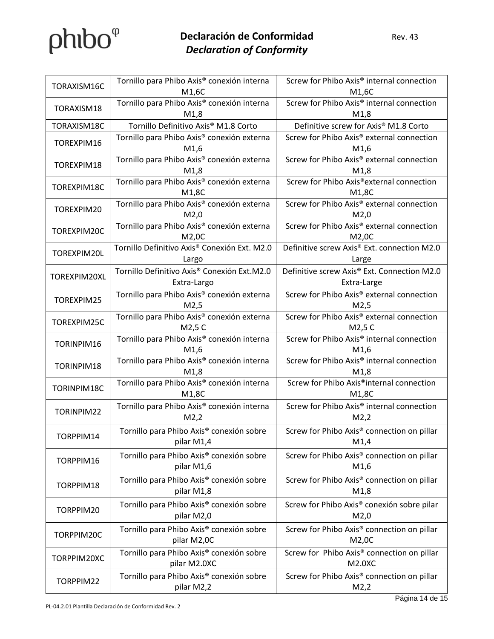| TORAXISM16C                            | Tornillo para Phibo Axis <sup>®</sup> conexión interna               | Screw for Phibo Axis <sup>®</sup> internal connection          |
|----------------------------------------|----------------------------------------------------------------------|----------------------------------------------------------------|
|                                        | M1,6C                                                                | M1,6C                                                          |
| TORAXISM18                             | Tornillo para Phibo Axis <sup>®</sup> conexión interna               | Screw for Phibo Axis® internal connection                      |
|                                        | M1,8                                                                 | M1,8                                                           |
| TORAXISM18C                            | Tornillo Definitivo Axis® M1.8 Corto                                 | Definitive screw for Axis® M1.8 Corto                          |
| TOREXPIM16<br>TOREXPIM18               | Tornillo para Phibo Axis <sup>®</sup> conexión externa               | Screw for Phibo Axis <sup>®</sup> external connection          |
|                                        | M1,6                                                                 | M1,6<br>Screw for Phibo Axis® external connection              |
|                                        | Tornillo para Phibo Axis® conexión externa<br>M1,8                   | M1,8                                                           |
| TOREXPIM18C                            | Tornillo para Phibo Axis <sup>®</sup> conexión externa               | Screw for Phibo Axis®external connection                       |
|                                        | M1,8C                                                                | M1,8C                                                          |
| TOREXPIM20                             | Tornillo para Phibo Axis® conexión externa                           | Screw for Phibo Axis® external connection                      |
|                                        | M2,0                                                                 | M2,0                                                           |
| TOREXPIM20C                            | Tornillo para Phibo Axis® conexión externa                           | Screw for Phibo Axis® external connection                      |
|                                        | M2,0C                                                                | M2,0C                                                          |
| TOREXPIM20L                            | Tornillo Definitivo Axis® Conexión Ext. M2.0                         | Definitive screw Axis® Ext. connection M2.0                    |
|                                        | Largo                                                                | Large                                                          |
| TOREXPIM20XL                           | Tornillo Definitivo Axis® Conexión Ext.M2.0                          | Definitive screw Axis® Ext. Connection M2.0                    |
|                                        | Extra-Largo                                                          | Extra-Large                                                    |
| TOREXPIM25                             | Tornillo para Phibo Axis <sup>®</sup> conexión externa               | Screw for Phibo Axis® external connection                      |
|                                        | M2,5                                                                 | M2,5                                                           |
| TOREXPIM25C                            | Tornillo para Phibo Axis <sup>®</sup> conexión externa               | Screw for Phibo Axis® external connection                      |
|                                        | M2,5 C                                                               | M2,5 C                                                         |
| TORINPIM16                             | Tornillo para Phibo Axis <sup>®</sup> conexión interna               | Screw for Phibo Axis® internal connection                      |
|                                        | M1,6                                                                 | M1,6<br>Screw for Phibo Axis® internal connection              |
| TORINPIM18                             | Tornillo para Phibo Axis <sup>®</sup> conexión interna<br>M1,8       | M1,8                                                           |
|                                        | Tornillo para Phibo Axis <sup>®</sup> conexión interna               | Screw for Phibo Axis®internal connection                       |
| TORINPIM18C                            | M1,8C                                                                | M1,8C                                                          |
|                                        | Tornillo para Phibo Axis <sup>®</sup> conexión interna               | Screw for Phibo Axis® internal connection                      |
| TORINPIM22                             | M2,2                                                                 | M2,2                                                           |
| TORPPIM14                              | Tornillo para Phibo Axis <sup>®</sup> conexión sobre                 | Screw for Phibo Axis <sup>®</sup> connection on pillar         |
|                                        | pilar M1,4                                                           | M1,4                                                           |
| TORPPIM16                              | Tornillo para Phibo Axis <sup>®</sup> conexión sobre                 | Screw for Phibo Axis <sup>®</sup> connection on pillar         |
|                                        | pilar M1,6                                                           | M1,6                                                           |
| TORPPIM18                              |                                                                      |                                                                |
|                                        | Tornillo para Phibo Axis <sup>®</sup> conexión sobre<br>pilar M1,8   | Screw for Phibo Axis <sup>®</sup> connection on pillar<br>M1,8 |
| TORPPIM20<br>TORPPIM20C<br>TORPPIM20XC |                                                                      |                                                                |
|                                        | Tornillo para Phibo Axis <sup>®</sup> conexión sobre                 | Screw for Phibo Axis <sup>®</sup> conexión sobre pilar         |
|                                        | pilar M2,0                                                           | M2,0                                                           |
|                                        | Tornillo para Phibo Axis <sup>®</sup> conexión sobre                 | Screw for Phibo Axis <sup>®</sup> connection on pillar         |
|                                        | pilar M2,0C                                                          | M2,0C                                                          |
|                                        | Tornillo para Phibo Axis <sup>®</sup> conexión sobre<br>pilar M2.0XC | Screw for Phibo Axis® connection on pillar<br>M2.0XC           |
| TORPPIM22                              |                                                                      |                                                                |
|                                        | Tornillo para Phibo Axis <sup>®</sup> conexión sobre<br>pilar M2,2   | Screw for Phibo Axis <sup>®</sup> connection on pillar         |
|                                        |                                                                      | M2,2                                                           |

Página 14 de 15